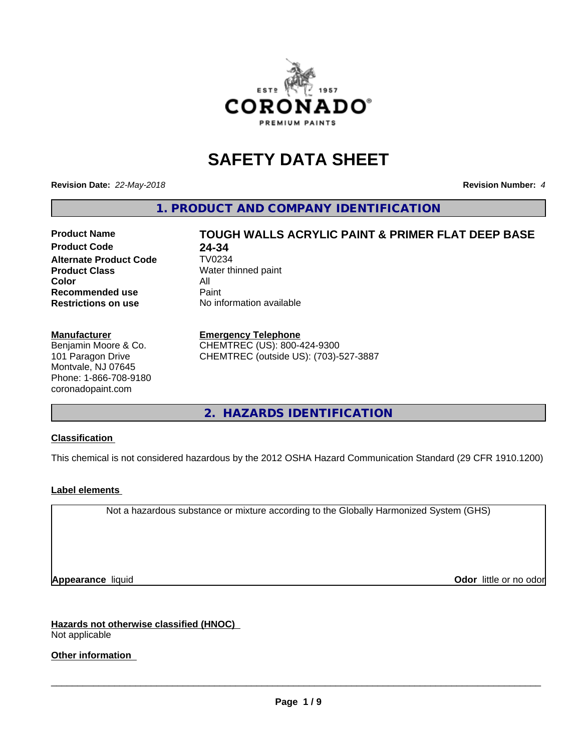

# **SAFETY DATA SHEET**

**Revision Date:** *22-May-2018* **Revision Number:** *4*

**1. PRODUCT AND COMPANY IDENTIFICATION**

#### **Product Name TOUGH WALLS ACRYLIC PAINT & PRIMER FLAT DEEP BASE Product Code 24-34<br>Alternate Product Code 7V0234 Alternate Product Code Product Class** Water thinned paint **Color** All<br> **Recommended use** Paint **Recommended use Restrictions on use** No information available

#### **Manufacturer**

Benjamin Moore & Co. 101 Paragon Drive Montvale, NJ 07645 Phone: 1-866-708-9180 coronadopaint.com

#### **Emergency Telephone**

CHEMTREC (US): 800-424-9300 CHEMTREC (outside US): (703)-527-3887

**2. HAZARDS IDENTIFICATION**

#### **Classification**

This chemical is not considered hazardous by the 2012 OSHA Hazard Communication Standard (29 CFR 1910.1200)

#### **Label elements**

Not a hazardous substance or mixture according to the Globally Harmonized System (GHS)

**Appearance** liquid **Contract Contract Contract Contract Contract Contract Contract Contract Contract Contract Contract Contract Contract Contract Contract Contract Contract Contract Contract Contract Contract Contract Con** 

#### **Hazards not otherwise classified (HNOC)** Not applicable

## **Other information**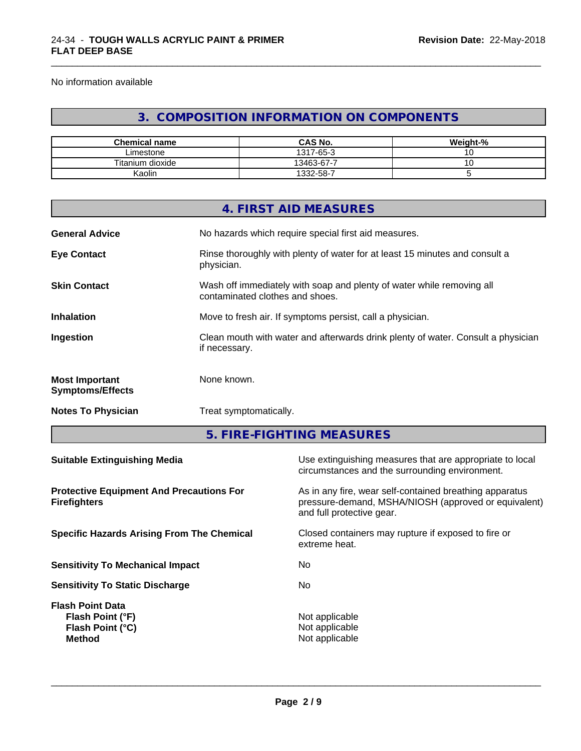No information available

## **3. COMPOSITION INFORMATION ON COMPONENTS**

\_\_\_\_\_\_\_\_\_\_\_\_\_\_\_\_\_\_\_\_\_\_\_\_\_\_\_\_\_\_\_\_\_\_\_\_\_\_\_\_\_\_\_\_\_\_\_\_\_\_\_\_\_\_\_\_\_\_\_\_\_\_\_\_\_\_\_\_\_\_\_\_\_\_\_\_\_\_\_\_\_\_\_\_\_\_\_\_\_\_\_\_\_

| <b>Chemical name</b> | <b>CAS No.</b> | Weight-% |
|----------------------|----------------|----------|
| ∟imestone            | 1317-65-3      | $\cdot$  |
| Titanium dioxide     | 13463-67-7     | ັ        |
| Kaolin               | 1332-58-7      |          |

|                                                                        |                        | 4. FIRST AID MEASURES                                                                                                                        |  |  |
|------------------------------------------------------------------------|------------------------|----------------------------------------------------------------------------------------------------------------------------------------------|--|--|
|                                                                        |                        |                                                                                                                                              |  |  |
| <b>General Advice</b>                                                  |                        | No hazards which require special first aid measures.                                                                                         |  |  |
| <b>Eye Contact</b>                                                     | physician.             | Rinse thoroughly with plenty of water for at least 15 minutes and consult a                                                                  |  |  |
| <b>Skin Contact</b>                                                    |                        | Wash off immediately with soap and plenty of water while removing all<br>contaminated clothes and shoes.                                     |  |  |
| <b>Inhalation</b>                                                      |                        | Move to fresh air. If symptoms persist, call a physician.                                                                                    |  |  |
| Ingestion                                                              | if necessary.          | Clean mouth with water and afterwards drink plenty of water. Consult a physician                                                             |  |  |
| <b>Most Important</b><br><b>Symptoms/Effects</b>                       | None known.            |                                                                                                                                              |  |  |
| <b>Notes To Physician</b>                                              | Treat symptomatically. |                                                                                                                                              |  |  |
|                                                                        |                        | 5. FIRE-FIGHTING MEASURES                                                                                                                    |  |  |
| <b>Suitable Extinguishing Media</b>                                    |                        | Use extinguishing measures that are appropriate to local<br>circumstances and the surrounding environment.                                   |  |  |
| <b>Protective Equipment And Precautions For</b><br><b>Firefighters</b> |                        | As in any fire, wear self-contained breathing apparatus<br>pressure-demand, MSHA/NIOSH (approved or equivalent)<br>and full protective gear. |  |  |
| <b>Specific Hazards Arising From The Chemical</b>                      |                        | Closed containers may rupture if exposed to fire or<br>extreme heat.                                                                         |  |  |
| <b>Sensitivity To Mechanical Impact</b><br>No.                         |                        |                                                                                                                                              |  |  |

**Sensitivity To Static Discharge** Mo

**Flash Point Data Flash Point (°F)**<br> **Flash Point (°C)**<br> **Flash Point (°C)**<br> **CO Flash Point (°C) Method** Not applicable

**Page 2 / 9**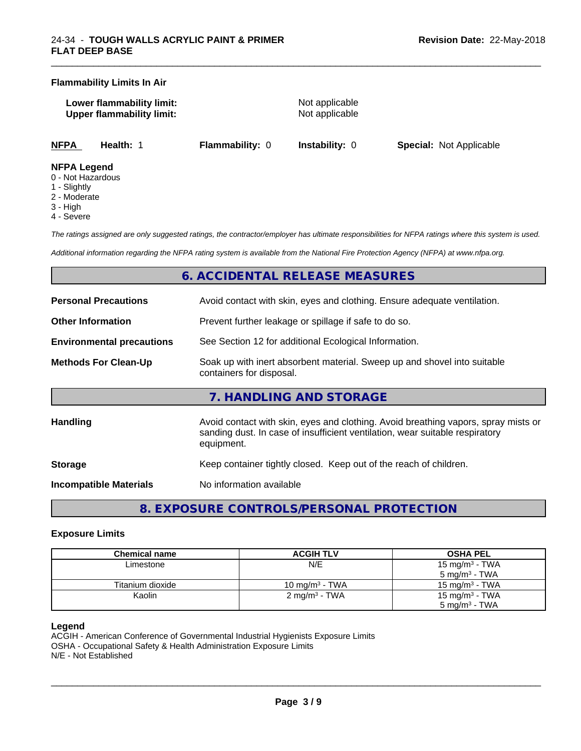#### **Flammability Limits In Air**

**Lower flammability limit:** Not applicable **Upper flammability limit:** Not applicable

\_\_\_\_\_\_\_\_\_\_\_\_\_\_\_\_\_\_\_\_\_\_\_\_\_\_\_\_\_\_\_\_\_\_\_\_\_\_\_\_\_\_\_\_\_\_\_\_\_\_\_\_\_\_\_\_\_\_\_\_\_\_\_\_\_\_\_\_\_\_\_\_\_\_\_\_\_\_\_\_\_\_\_\_\_\_\_\_\_\_\_\_\_

**NFPA Health:** 1 **Flammability:** 0 **Instability:** 0 **Special:** Not Applicable

#### **NFPA Legend**

- 0 Not Hazardous
- 1 Slightly
- 2 Moderate
- 3 High
- 4 Severe

*The ratings assigned are only suggested ratings, the contractor/employer has ultimate responsibilities for NFPA ratings where this system is used.*

*Additional information regarding the NFPA rating system is available from the National Fire Protection Agency (NFPA) at www.nfpa.org.*

## **6. ACCIDENTAL RELEASE MEASURES**

| <b>Personal Precautions</b>                                                                                                         | Avoid contact with skin, eyes and clothing. Ensure adequate ventilation.                                                                                                         |  |  |
|-------------------------------------------------------------------------------------------------------------------------------------|----------------------------------------------------------------------------------------------------------------------------------------------------------------------------------|--|--|
| <b>Other Information</b>                                                                                                            | Prevent further leakage or spillage if safe to do so.                                                                                                                            |  |  |
| <b>Environmental precautions</b>                                                                                                    | See Section 12 for additional Ecological Information.                                                                                                                            |  |  |
| <b>Methods For Clean-Up</b><br>Soak up with inert absorbent material. Sweep up and shovel into suitable<br>containers for disposal. |                                                                                                                                                                                  |  |  |
|                                                                                                                                     | 7. HANDLING AND STORAGE                                                                                                                                                          |  |  |
| <b>Handling</b>                                                                                                                     | Avoid contact with skin, eyes and clothing. Avoid breathing vapors, spray mists or<br>sanding dust. In case of insufficient ventilation, wear suitable respiratory<br>equipment. |  |  |
| <b>Storage</b>                                                                                                                      | Keep container tightly closed. Keep out of the reach of children.                                                                                                                |  |  |
| Incompatible Materials                                                                                                              | No information available                                                                                                                                                         |  |  |

**8. EXPOSURE CONTROLS/PERSONAL PROTECTION**

#### **Exposure Limits**

| <b>Chemical name</b> | <b>ACGIH TLV</b>         | <b>OSHA PEL</b>            |
|----------------------|--------------------------|----------------------------|
| Limestone            | N/E                      | 15 mg/m <sup>3</sup> - TWA |
|                      |                          | $5 \text{ ma/m}^3$ - TWA   |
| Titanium dioxide     | 10 mg/m $3$ - TWA        | 15 mg/m $3$ - TWA          |
| Kaolin               | $2 \text{ mg/m}^3$ - TWA | 15 mg/m <sup>3</sup> - TWA |
|                      |                          | $5 \text{ mg/m}^3$ - TWA   |

#### **Legend**

ACGIH - American Conference of Governmental Industrial Hygienists Exposure Limits OSHA - Occupational Safety & Health Administration Exposure Limits N/E - Not Established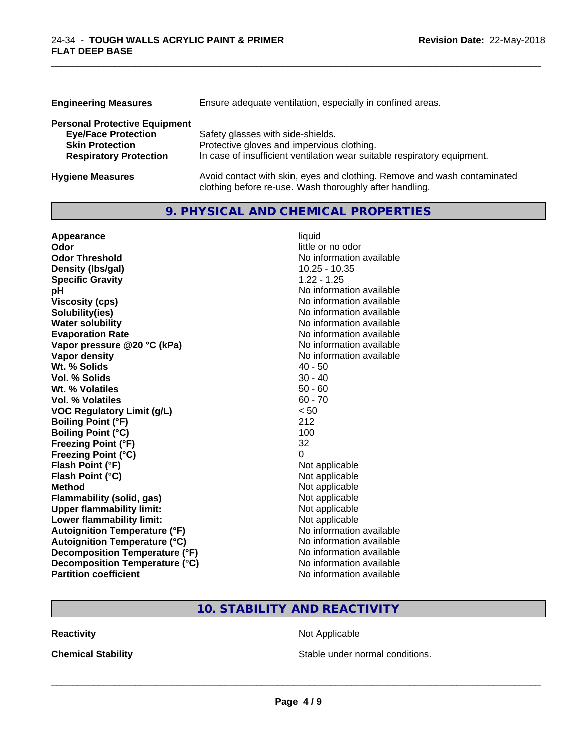| <b>Engineering Measures</b>          | Ensure adequate ventilation, especially in confined areas.               |
|--------------------------------------|--------------------------------------------------------------------------|
| <b>Personal Protective Equipment</b> |                                                                          |
| <b>Eye/Face Protection</b>           | Safety glasses with side-shields.                                        |
| <b>Skin Protection</b>               | Protective gloves and impervious clothing.                               |
| <b>Respiratory Protection</b>        | In case of insufficient ventilation wear suitable respiratory equipment. |
| <b>Hygiene Measures</b>              | Avoid contact with skin, eyes and clothing. Remove and wash contaminated |

clothing before re-use. Wash thoroughly after handling.

\_\_\_\_\_\_\_\_\_\_\_\_\_\_\_\_\_\_\_\_\_\_\_\_\_\_\_\_\_\_\_\_\_\_\_\_\_\_\_\_\_\_\_\_\_\_\_\_\_\_\_\_\_\_\_\_\_\_\_\_\_\_\_\_\_\_\_\_\_\_\_\_\_\_\_\_\_\_\_\_\_\_\_\_\_\_\_\_\_\_\_\_\_

## **9. PHYSICAL AND CHEMICAL PROPERTIES**

| Appearance                           | liquid                   |
|--------------------------------------|--------------------------|
| Odor                                 | little or no odor        |
| <b>Odor Threshold</b>                | No information available |
| Density (Ibs/gal)                    | $10.25 - 10.35$          |
| <b>Specific Gravity</b>              | $1.22 - 1.25$            |
| pH                                   | No information available |
| <b>Viscosity (cps)</b>               | No information available |
| Solubility(ies)                      | No information available |
| <b>Water solubility</b>              | No information available |
| <b>Evaporation Rate</b>              | No information available |
| Vapor pressure @20 °C (kPa)          | No information available |
| <b>Vapor density</b>                 | No information available |
| Wt. % Solids                         | $40 - 50$                |
| Vol. % Solids                        | $30 - 40$                |
| Wt. % Volatiles                      | $50 - 60$                |
| Vol. % Volatiles                     | $60 - 70$                |
| <b>VOC Regulatory Limit (g/L)</b>    | < 50                     |
| <b>Boiling Point (°F)</b>            | 212                      |
| <b>Boiling Point (°C)</b>            | 100                      |
| <b>Freezing Point (°F)</b>           | 32                       |
| <b>Freezing Point (°C)</b>           | 0                        |
| Flash Point (°F)                     | Not applicable           |
| Flash Point (°C)                     | Not applicable           |
| <b>Method</b>                        | Not applicable           |
| Flammability (solid, gas)            | Not applicable           |
| <b>Upper flammability limit:</b>     | Not applicable           |
| Lower flammability limit:            | Not applicable           |
| <b>Autoignition Temperature (°F)</b> | No information available |
| <b>Autoignition Temperature (°C)</b> | No information available |
| Decomposition Temperature (°F)       | No information available |
| Decomposition Temperature (°C)       | No information available |
| <b>Partition coefficient</b>         | No information available |

## **10. STABILITY AND REACTIVITY**

**Reactivity Not Applicable** Not Applicable

**Chemical Stability Chemical Stability** Stable under normal conditions.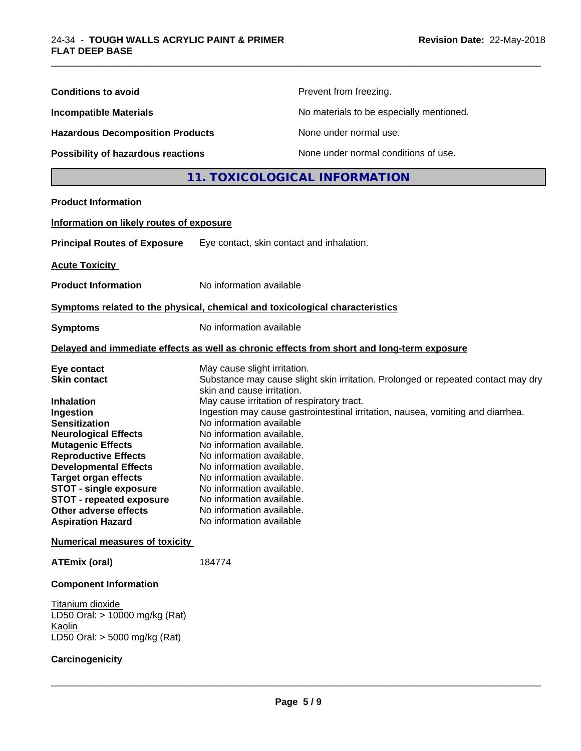| <b>Conditions to avoid</b>                                                                                                                                                                                                                                                                                                                                                                                       |                                                                                                                                                                                                                                                                                                                                                                                                          | Prevent from freezing.                                                                                                                                               |
|------------------------------------------------------------------------------------------------------------------------------------------------------------------------------------------------------------------------------------------------------------------------------------------------------------------------------------------------------------------------------------------------------------------|----------------------------------------------------------------------------------------------------------------------------------------------------------------------------------------------------------------------------------------------------------------------------------------------------------------------------------------------------------------------------------------------------------|----------------------------------------------------------------------------------------------------------------------------------------------------------------------|
| No materials to be especially mentioned.<br><b>Incompatible Materials</b><br><b>Hazardous Decomposition Products</b><br>None under normal use.                                                                                                                                                                                                                                                                   |                                                                                                                                                                                                                                                                                                                                                                                                          |                                                                                                                                                                      |
|                                                                                                                                                                                                                                                                                                                                                                                                                  |                                                                                                                                                                                                                                                                                                                                                                                                          |                                                                                                                                                                      |
|                                                                                                                                                                                                                                                                                                                                                                                                                  |                                                                                                                                                                                                                                                                                                                                                                                                          | 11. TOXICOLOGICAL INFORMATION                                                                                                                                        |
| <b>Product Information</b>                                                                                                                                                                                                                                                                                                                                                                                       |                                                                                                                                                                                                                                                                                                                                                                                                          |                                                                                                                                                                      |
| Information on likely routes of exposure                                                                                                                                                                                                                                                                                                                                                                         |                                                                                                                                                                                                                                                                                                                                                                                                          |                                                                                                                                                                      |
| <b>Principal Routes of Exposure</b>                                                                                                                                                                                                                                                                                                                                                                              | Eye contact, skin contact and inhalation.                                                                                                                                                                                                                                                                                                                                                                |                                                                                                                                                                      |
| <b>Acute Toxicity</b>                                                                                                                                                                                                                                                                                                                                                                                            |                                                                                                                                                                                                                                                                                                                                                                                                          |                                                                                                                                                                      |
| <b>Product Information</b>                                                                                                                                                                                                                                                                                                                                                                                       | No information available                                                                                                                                                                                                                                                                                                                                                                                 |                                                                                                                                                                      |
| Symptoms related to the physical, chemical and toxicological characteristics                                                                                                                                                                                                                                                                                                                                     |                                                                                                                                                                                                                                                                                                                                                                                                          |                                                                                                                                                                      |
| <b>Symptoms</b>                                                                                                                                                                                                                                                                                                                                                                                                  | No information available                                                                                                                                                                                                                                                                                                                                                                                 |                                                                                                                                                                      |
|                                                                                                                                                                                                                                                                                                                                                                                                                  |                                                                                                                                                                                                                                                                                                                                                                                                          | Delayed and immediate effects as well as chronic effects from short and long-term exposure                                                                           |
| Eye contact<br><b>Skin contact</b><br>Inhalation<br>Ingestion<br><b>Sensitization</b><br><b>Neurological Effects</b><br><b>Mutagenic Effects</b><br><b>Reproductive Effects</b><br><b>Developmental Effects</b><br><b>Target organ effects</b><br><b>STOT - single exposure</b><br><b>STOT - repeated exposure</b><br>Other adverse effects<br><b>Aspiration Hazard</b><br><b>Numerical measures of toxicity</b> | May cause slight irritation.<br>skin and cause irritation.<br>May cause irritation of respiratory tract.<br>No information available<br>No information available.<br>No information available.<br>No information available.<br>No information available.<br>No information available.<br>No information available.<br>No information available.<br>No information available.<br>No information available | Substance may cause slight skin irritation. Prolonged or repeated contact may dry<br>Ingestion may cause gastrointestinal irritation, nausea, vomiting and diarrhea. |
| <b>ATEmix (oral)</b>                                                                                                                                                                                                                                                                                                                                                                                             | 184774                                                                                                                                                                                                                                                                                                                                                                                                   |                                                                                                                                                                      |
|                                                                                                                                                                                                                                                                                                                                                                                                                  |                                                                                                                                                                                                                                                                                                                                                                                                          |                                                                                                                                                                      |
| <b>Component Information</b><br>Titanium dioxide<br>LD50 Oral: > 10000 mg/kg (Rat)<br>Kaolin                                                                                                                                                                                                                                                                                                                     |                                                                                                                                                                                                                                                                                                                                                                                                          |                                                                                                                                                                      |
| LD50 Oral: $>$ 5000 mg/kg (Rat)<br>Carcinogenicity                                                                                                                                                                                                                                                                                                                                                               |                                                                                                                                                                                                                                                                                                                                                                                                          |                                                                                                                                                                      |

\_\_\_\_\_\_\_\_\_\_\_\_\_\_\_\_\_\_\_\_\_\_\_\_\_\_\_\_\_\_\_\_\_\_\_\_\_\_\_\_\_\_\_\_\_\_\_\_\_\_\_\_\_\_\_\_\_\_\_\_\_\_\_\_\_\_\_\_\_\_\_\_\_\_\_\_\_\_\_\_\_\_\_\_\_\_\_\_\_\_\_\_\_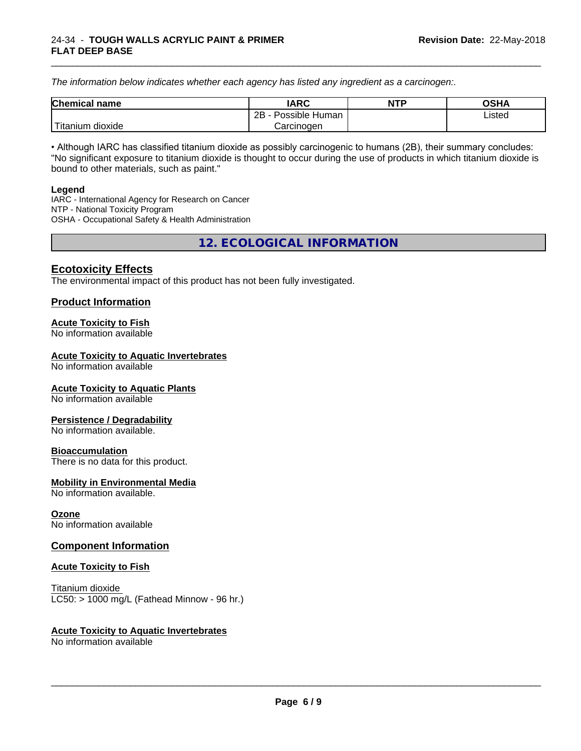*The information below indicateswhether each agency has listed any ingredient as a carcinogen:.*

| <b>Chemical</b><br>name  | <b>IARC</b>                    | <b>NTP</b> | <b>OSHA</b> |
|--------------------------|--------------------------------|------------|-------------|
|                          | . .<br>2B<br>Possible<br>Human |            | Listed<br>. |
| .<br>dioxide<br>⊺itanium | Carcinogen                     |            |             |

\_\_\_\_\_\_\_\_\_\_\_\_\_\_\_\_\_\_\_\_\_\_\_\_\_\_\_\_\_\_\_\_\_\_\_\_\_\_\_\_\_\_\_\_\_\_\_\_\_\_\_\_\_\_\_\_\_\_\_\_\_\_\_\_\_\_\_\_\_\_\_\_\_\_\_\_\_\_\_\_\_\_\_\_\_\_\_\_\_\_\_\_\_

• Although IARC has classified titanium dioxide as possibly carcinogenic to humans (2B), their summary concludes: "No significant exposure to titanium dioxide is thought to occur during the use of products in which titanium dioxide is bound to other materials, such as paint."

#### **Legend**

IARC - International Agency for Research on Cancer NTP - National Toxicity Program OSHA - Occupational Safety & Health Administration

**12. ECOLOGICAL INFORMATION**

## **Ecotoxicity Effects**

The environmental impact of this product has not been fully investigated.

### **Product Information**

#### **Acute Toxicity to Fish**

No information available

#### **Acute Toxicity to Aquatic Invertebrates**

No information available

#### **Acute Toxicity to Aquatic Plants**

No information available

#### **Persistence / Degradability**

No information available.

#### **Bioaccumulation**

There is no data for this product.

#### **Mobility in Environmental Media**

No information available.

#### **Ozone**

No information available

#### **Component Information**

#### **Acute Toxicity to Fish**

Titanium dioxide  $LC50:$  > 1000 mg/L (Fathead Minnow - 96 hr.)

#### **Acute Toxicity to Aquatic Invertebrates**

No information available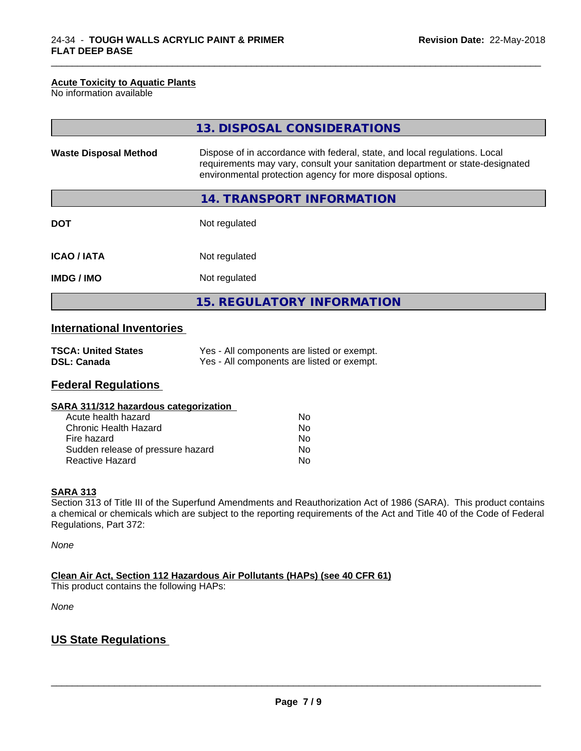#### **Acute Toxicity to Aquatic Plants**

No information available

|                              | 13. DISPOSAL CONSIDERATIONS                                                                                                                                                                                               |  |
|------------------------------|---------------------------------------------------------------------------------------------------------------------------------------------------------------------------------------------------------------------------|--|
| <b>Waste Disposal Method</b> | Dispose of in accordance with federal, state, and local regulations. Local<br>requirements may vary, consult your sanitation department or state-designated<br>environmental protection agency for more disposal options. |  |
|                              | 14. TRANSPORT INFORMATION                                                                                                                                                                                                 |  |
| <b>DOT</b>                   | Not regulated                                                                                                                                                                                                             |  |
| <b>ICAO/IATA</b>             | Not regulated                                                                                                                                                                                                             |  |
| <b>IMDG/IMO</b>              | Not regulated                                                                                                                                                                                                             |  |
|                              | <b>15. REGULATORY INFORMATION</b>                                                                                                                                                                                         |  |

\_\_\_\_\_\_\_\_\_\_\_\_\_\_\_\_\_\_\_\_\_\_\_\_\_\_\_\_\_\_\_\_\_\_\_\_\_\_\_\_\_\_\_\_\_\_\_\_\_\_\_\_\_\_\_\_\_\_\_\_\_\_\_\_\_\_\_\_\_\_\_\_\_\_\_\_\_\_\_\_\_\_\_\_\_\_\_\_\_\_\_\_\_

## **International Inventories**

| <b>TSCA: United States</b> | Yes - All components are listed or exempt. |
|----------------------------|--------------------------------------------|
| <b>DSL: Canada</b>         | Yes - All components are listed or exempt. |

## **Federal Regulations**

| SARA 311/312 hazardous categorization |    |  |
|---------------------------------------|----|--|
| Acute health hazard                   | Nο |  |
| Chronic Health Hazard                 | Nο |  |
| Fire hazard                           | Nο |  |
| Sudden release of pressure hazard     | N٥ |  |

Reactive Hazard No

#### **SARA 313**

Section 313 of Title III of the Superfund Amendments and Reauthorization Act of 1986 (SARA). This product contains a chemical or chemicals which are subject to the reporting requirements of the Act and Title 40 of the Code of Federal Regulations, Part 372:

*None*

**Clean Air Act,Section 112 Hazardous Air Pollutants (HAPs) (see 40 CFR 61)**

This product contains the following HAPs:

*None*

## **US State Regulations**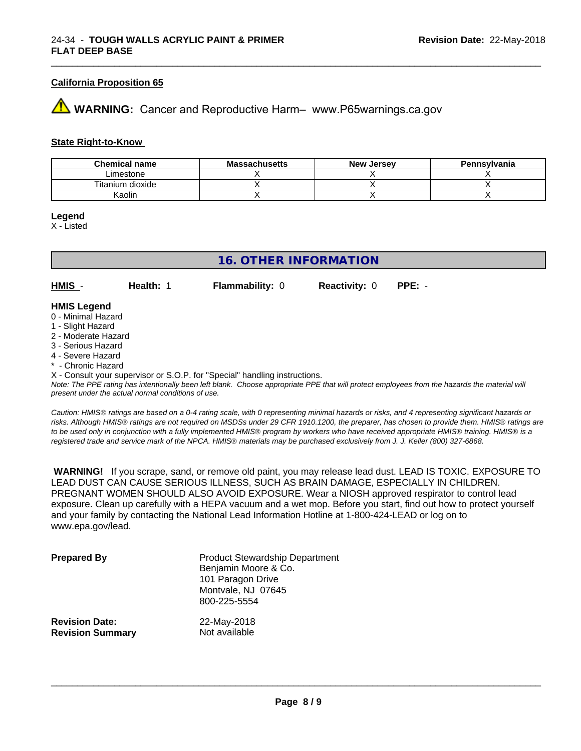#### **California Proposition 65**

## **43 WARNING:** Cancer and Reproductive Harm– www.P65warnings.ca.gov

#### **State Right-to-Know**

| <b>Chemical name</b> | <b>Massachusetts</b> | <b>New Jersey</b> | Pennsylvania |
|----------------------|----------------------|-------------------|--------------|
| Limestone            |                      |                   |              |
| Titanium dioxide     |                      |                   |              |
| Kaolin               |                      |                   |              |

\_\_\_\_\_\_\_\_\_\_\_\_\_\_\_\_\_\_\_\_\_\_\_\_\_\_\_\_\_\_\_\_\_\_\_\_\_\_\_\_\_\_\_\_\_\_\_\_\_\_\_\_\_\_\_\_\_\_\_\_\_\_\_\_\_\_\_\_\_\_\_\_\_\_\_\_\_\_\_\_\_\_\_\_\_\_\_\_\_\_\_\_\_

#### **Legend**

X - Listed

### **16. OTHER INFORMATION**

**HMIS** - **Health:** 1 **Flammability:** 0 **Reactivity:** 0 **PPE:** -

#### **HMIS Legend**

- 0 Minimal Hazard
- 1 Slight Hazard
- 2 Moderate Hazard
- 3 Serious Hazard
- 4 Severe Hazard
- \* Chronic Hazard

X - Consult your supervisor or S.O.P. for "Special" handling instructions.

*Note: The PPE rating has intentionally been left blank. Choose appropriate PPE that will protect employees from the hazards the material will present under the actual normal conditions of use.*

*Caution: HMISÒ ratings are based on a 0-4 rating scale, with 0 representing minimal hazards or risks, and 4 representing significant hazards or risks. Although HMISÒ ratings are not required on MSDSs under 29 CFR 1910.1200, the preparer, has chosen to provide them. HMISÒ ratings are to be used only in conjunction with a fully implemented HMISÒ program by workers who have received appropriate HMISÒ training. HMISÒ is a registered trade and service mark of the NPCA. HMISÒ materials may be purchased exclusively from J. J. Keller (800) 327-6868.*

 **WARNING!** If you scrape, sand, or remove old paint, you may release lead dust. LEAD IS TOXIC. EXPOSURE TO LEAD DUST CAN CAUSE SERIOUS ILLNESS, SUCH AS BRAIN DAMAGE, ESPECIALLY IN CHILDREN. PREGNANT WOMEN SHOULD ALSO AVOID EXPOSURE.Wear a NIOSH approved respirator to control lead exposure. Clean up carefully with a HEPA vacuum and a wet mop. Before you start, find out how to protect yourself and your family by contacting the National Lead Information Hotline at 1-800-424-LEAD or log on to www.epa.gov/lead.

| <b>Prepared By</b>      | <b>Product Stewardship Department</b><br>Benjamin Moore & Co.<br>101 Paragon Drive<br>Montvale, NJ 07645<br>800-225-5554 |
|-------------------------|--------------------------------------------------------------------------------------------------------------------------|
| <b>Revision Date:</b>   | 22-May-2018                                                                                                              |
| <b>Revision Summary</b> | Not available                                                                                                            |